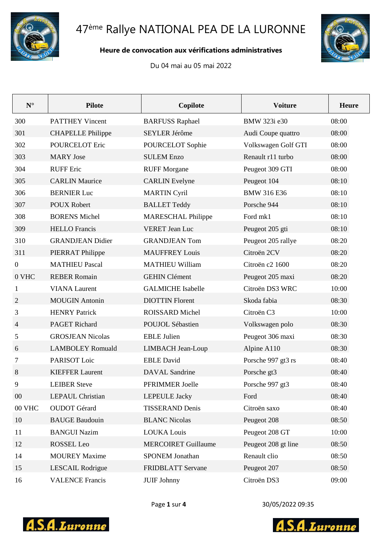

# 47<sup>ème</sup> Rallye NATIONAL PEA DE LA LURONNE

#### Heure de convocation aux vérifications administratives

Du 04 mai au 05 mai 2022



| $N^{\circ}$      | <b>Pilote</b>            | Copilote                   | <b>Voiture</b>      | <b>Heure</b> |
|------------------|--------------------------|----------------------------|---------------------|--------------|
| 300              | <b>PATTHEY Vincent</b>   | <b>BARFUSS Raphael</b>     | BMW 323i e30        | 08:00        |
| 301              | <b>CHAPELLE Philippe</b> | SEYLER Jérôme              | Audi Coupe quattro  | 08:00        |
| 302              | <b>POURCELOT Eric</b>    | POURCELOT Sophie           | Volkswagen Golf GTI | 08:00        |
| 303              | <b>MARY</b> Jose         | <b>SULEM Enzo</b>          | Renault r11 turbo   | 08:00        |
| 304              | <b>RUFF</b> Eric         | <b>RUFF Morgane</b>        | Peugeot 309 GTI     | 08:00        |
| 305              | <b>CARLIN Maurice</b>    | <b>CARLIN</b> Evelyne      | Peugeot 104         | 08:10        |
| 306              | <b>BERNIER Luc</b>       | <b>MARTIN Cyril</b>        | <b>BMW 316 E36</b>  | 08:10        |
| 307              | <b>POUX Robert</b>       | <b>BALLET Teddy</b>        | Porsche 944         | 08:10        |
| 308              | <b>BORENS Michel</b>     | <b>MARESCHAL Philippe</b>  | Ford mk1            | 08:10        |
| 309              | <b>HELLO</b> Francis     | <b>VERET Jean Luc</b>      | Peugeot 205 gti     | 08:10        |
| 310              | <b>GRANDJEAN Didier</b>  | <b>GRANDJEAN Tom</b>       | Peugeot 205 rallye  | 08:20        |
| 311              | PIERRAT Philippe         | <b>MAUFFREY Louis</b>      | Citroën 2CV         | 08:20        |
| $\boldsymbol{0}$ | <b>MATHIEU Pascal</b>    | <b>MATHIEU William</b>     | Citroën c2 1600     | 08:20        |
| 0 VHC            | <b>REBER Romain</b>      | <b>GEHIN Clément</b>       | Peugeot 205 maxi    | 08:20        |
| $\mathbf{1}$     | <b>VIANA</b> Laurent     | <b>GALMICHE</b> Isabelle   | Citroën DS3 WRC     | 10:00        |
| $\overline{2}$   | <b>MOUGIN</b> Antonin    | <b>DIOTTIN Florent</b>     | Skoda fabia         | 08:30        |
| 3                | <b>HENRY Patrick</b>     | ROISSARD Michel            | Citroën C3          | 10:00        |
| $\overline{4}$   | <b>PAGET Richard</b>     | <b>POUJOL Sébastien</b>    | Volkswagen polo     | 08:30        |
| 5                | <b>GROSJEAN Nicolas</b>  | <b>EBLE Julien</b>         | Peugeot 306 maxi    | 08:30        |
| 6                | <b>LAMBOLEY Romuald</b>  | LIMBACH Jean-Loup          | Alpine A110         | 08:30        |
| 7                | PARISOT Loic             | <b>EBLE David</b>          | Porsche 997 gt3 rs  | 08:40        |
| 8                | <b>KIEFFER Laurent</b>   | <b>DAVAL</b> Sandrine      | Porsche gt3         | 08:40        |
| 9                | <b>LEIBER Steve</b>      | PFRIMMER Joelle            | Porsche 997 gt3     | 08:40        |
| $00\,$           | <b>LEPAUL Christian</b>  | <b>LEPEULE Jacky</b>       | Ford                | 08:40        |
| 00 VHC           | <b>OUDOT</b> Gérard      | <b>TISSERAND Denis</b>     | Citroën saxo        | 08:40        |
| 10               | <b>BAUGE Baudouin</b>    | <b>BLANC Nicolas</b>       | Peugeot 208         | 08:50        |
| 11               | <b>BANGUI Nazim</b>      | <b>LOUKA Louis</b>         | Peugeot 208 GT      | 10:00        |
| 12               | ROSSEL Leo               | <b>MERCOIRET Guillaume</b> | Peugeot 208 gt line | 08:50        |
| 14               | <b>MOUREY Maxime</b>     | SPONEM Jonathan            | Renault clio        | 08:50        |
| 15               | <b>LESCAIL Rodrigue</b>  | <b>FRIDBLATT Servane</b>   | Peugeot 207         | 08:50        |
| 16               | <b>VALENCE Francis</b>   | <b>JUIF Johnny</b>         | Citroën DS3         | 09:00        |



30/05/2022 09:35



**S.A.**Luronne Δ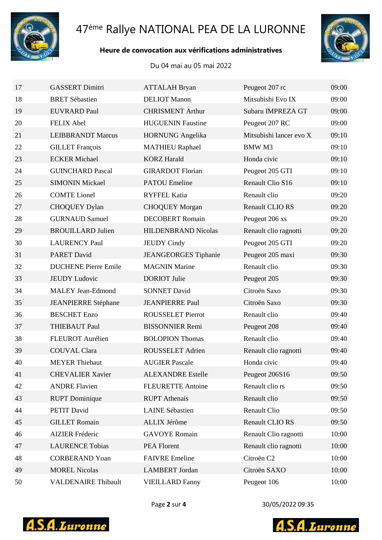

# ème Rallye NATIONAL PEA DE LA LURONNE

### **Heure de convocation aux vérifications administratives**



Du 04 mai au 05 mai 2022

| 17 | <b>GASSERT Dimitri</b>      | <b>ATTALAH Bryan</b>        | Peugeot 207 rc          | 09:00 |
|----|-----------------------------|-----------------------------|-------------------------|-------|
| 18 | <b>BRET Sébastien</b>       | <b>DELIOT</b> Manon         | Mitsubishi Evo IX       | 09:00 |
| 19 | <b>EUVRARD Paul</b>         | <b>CHRISMENT Arthur</b>     | Subaru IMPREZA GT       | 09:00 |
| 20 | <b>FELIX Abel</b>           | <b>HUGUENIN Faustine</b>    | Peugeot 207 RC          | 09:00 |
| 21 | <b>LEIBBRANDT Marcus</b>    | <b>HORNUNG</b> Angelika     | Mitsubishi lancer evo X | 09:10 |
| 22 | <b>GILLET</b> François      | <b>MATHIEU Raphael</b>      | <b>BMWM3</b>            | 09:10 |
| 23 | <b>ECKER Michael</b>        | <b>KORZ</b> Harald          | Honda civic             | 09:10 |
| 24 | <b>GUINCHARD Pascal</b>     | <b>GIRARDOT</b> Florian     | Peugeot 205 GTI         | 09:10 |
| 25 | <b>SIMONIN Mickael</b>      | <b>PATOU Emeline</b>        | Renault Clio S16        | 09:10 |
| 26 | <b>COMTE Lionel</b>         | <b>RYFFEL Katia</b>         | Renault clio            | 09:20 |
| 27 | <b>CHOQUEY Dylan</b>        | <b>CHOQUEY Morgan</b>       | <b>Renault CLIO RS</b>  | 09:20 |
| 28 | <b>GURNAUD Samuel</b>       | <b>DECOBERT Romain</b>      | Peugeot 206 xs          | 09:20 |
| 29 | <b>BROUILLARD Julien</b>    | <b>HILDENBRAND Nicolas</b>  | Renault clio ragnotti   | 09:20 |
| 30 | <b>LAURENCY Paul</b>        | <b>JEUDY Cindy</b>          | Peugeot 205 GTI         | 09:20 |
| 31 | <b>PARET David</b>          | <b>JEANGEORGES</b> Tiphanie | Peugeot 205 maxi        | 09:30 |
| 32 | <b>DUCHENE Pierre Emile</b> | <b>MAGNIN Marine</b>        | Renault clio            | 09:30 |
| 33 | <b>JEUDY Ludovic</b>        | <b>DORIOT</b> Julie         | Peugeot 205             | 09:30 |
| 34 | <b>MALEY Jean-Edmond</b>    | <b>SONNET David</b>         | Citroën Saxo            | 09:30 |
| 35 | <b>JEANPIERRE Stéphane</b>  | <b>JEANPIERRE Paul</b>      | Citroën Saxo            | 09:30 |
| 36 | <b>BESCHET</b> Enzo         | <b>ROUSSELET Pierrot</b>    | Renault clio            | 09:40 |
| 37 | <b>THIEBAUT Paul</b>        | <b>BISSONNIER Remi</b>      | Peugeot 208             | 09:40 |
| 38 | FLEUROT Aurélien            | <b>BOLOPION Thomas</b>      | Renault clio            | 09:40 |
| 39 | <b>COUVAL Clara</b>         | ROUSSELET Adrien            | Renault clio ragnotti   | 09:40 |
| 40 | <b>MEYER Thiebaut</b>       | <b>AUGIER Pascale</b>       | Honda civic             | 09:40 |
| 41 | <b>CHEVALIER Xavier</b>     | <b>ALEXANDRE Estelle</b>    | Peugeot 206S16          | 09:50 |
| 42 | <b>ANDRE Flavien</b>        | <b>FLEURETTE Antoine</b>    | Renault clio rs         | 09:50 |
| 43 | <b>RUPT</b> Dominique       | <b>RUPT</b> Athenais        | Renault clio            | 09:50 |
| 44 | PETIT David                 | <b>LAINE Sébastien</b>      | <b>Renault Clio</b>     | 09:50 |
| 45 | <b>GILLET Romain</b>        | ALLIX Jérôme                | Renault CLIO RS         | 09:50 |
| 46 | <b>AIZIER Fréderic</b>      | <b>GAVOYE</b> Romain        | Renault Clio ragnotti   | 10:00 |
| 47 | <b>LAURENCE Tobias</b>      | PEA Florent                 | Renault clio ragnotti   | 10:00 |
| 48 | <b>CORBERAND Yoan</b>       | <b>FAIVRE</b> Emeline       | Citroën C <sub>2</sub>  | 10:00 |
| 49 | <b>MOREL Nicolas</b>        | <b>LAMBERT</b> Jordan       | Citroën SAXO            | 10:00 |
| 50 | <b>VALDENAIRE Thibault</b>  | <b>VIEILLARD Fanny</b>      | Peugeot 106             | 10:00 |



Page **2** sur **4** 30/05/2022 09:35



**S.A.Luronne** Δ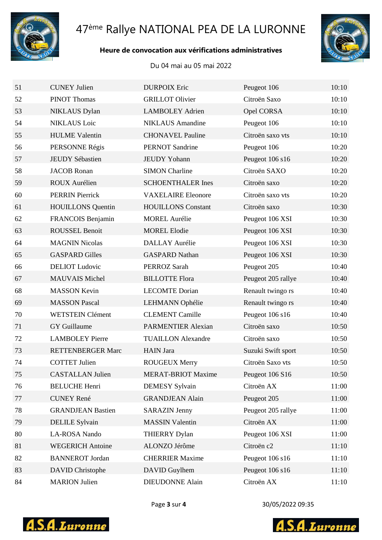

# ème Rallye NATIONAL PEA DE LA LURONNE

#### **Heure de convocation aux vérifications administratives**

#### Du 04 mai au 05 mai 2022



| 51 | <b>CUNEY Julien</b>      | <b>DURPOIX Eric</b>       | Peugeot 106        | 10:10 |
|----|--------------------------|---------------------------|--------------------|-------|
| 52 | <b>PINOT Thomas</b>      | <b>GRILLOT Olivier</b>    | Citroën Saxo       | 10:10 |
| 53 | <b>NIKLAUS</b> Dylan     | <b>LAMBOLEY Adrien</b>    | Opel CORSA         | 10:10 |
| 54 | <b>NIKLAUS</b> Loic      | <b>NIKLAUS</b> Amandine   | Peugeot 106        | 10:10 |
| 55 | <b>HULME</b> Valentin    | <b>CHONAVEL Pauline</b>   | Citroën saxo vts   | 10:10 |
| 56 | PERSONNE Régis           | <b>PERNOT Sandrine</b>    | Peugeot 106        | 10:20 |
| 57 | <b>JEUDY Sébastien</b>   | <b>JEUDY Yohann</b>       | Peugeot 106 s16    | 10:20 |
| 58 | <b>JACOB</b> Ronan       | <b>SIMON Charline</b>     | Citroën SAXO       | 10:20 |
| 59 | <b>ROUX Aurélien</b>     | <b>SCHOENTHALER Ines</b>  | Citroën saxo       | 10:20 |
| 60 | <b>PERRIN Pierrick</b>   | <b>VAXELAIRE Eleonore</b> | Citroën saxo vts   | 10:20 |
| 61 | <b>HOUILLONS</b> Quentin | <b>HOUILLONS</b> Constant | Citroën saxo       | 10:30 |
| 62 | FRANCOIS Benjamin        | <b>MOREL Aurélie</b>      | Peugeot 106 XSI    | 10:30 |
| 63 | <b>ROUSSEL Benoit</b>    | <b>MOREL Elodie</b>       | Peugeot 106 XSI    | 10:30 |
| 64 | <b>MAGNIN Nicolas</b>    | <b>DALLAY Aurélie</b>     | Peugeot 106 XSI    | 10:30 |
| 65 | <b>GASPARD Gilles</b>    | <b>GASPARD Nathan</b>     | Peugeot 106 XSI    | 10:30 |
| 66 | <b>DELIOT</b> Ludovic    | PERROZ Sarah              | Peugeot 205        | 10:40 |
| 67 | <b>MAUVAIS Michel</b>    | <b>BILLOTTE Flora</b>     | Peugeot 205 rallye | 10:40 |
| 68 | <b>MASSON Kevin</b>      | <b>LECOMTE Dorian</b>     | Renault twingo rs  | 10:40 |
| 69 | <b>MASSON Pascal</b>     | LEHMANN Ophélie           | Renault twingo rs  | 10:40 |
| 70 | <b>WETSTEIN Clément</b>  | <b>CLEMENT Camille</b>    | Peugeot 106 s16    | 10:40 |
| 71 | GY Guillaume             | <b>PARMENTIER Alexian</b> | Citroën saxo       | 10:50 |
| 72 | <b>LAMBOLEY Pierre</b>   | <b>TUAILLON Alexandre</b> | Citroën saxo       | 10:50 |
| 73 | <b>RETTENBERGER Marc</b> | <b>HAIN</b> Jara          | Suzuki Swift sport | 10:50 |
| 74 | <b>COTTET Julien</b>     | <b>ROUGEUX Merry</b>      | Citroën Saxo vts   | 10:50 |
| 75 | <b>CASTALLAN Julien</b>  | <b>MERAT-BRIOT Maxime</b> | Peugeot 106 S16    | 10:50 |
| 76 | <b>BELUCHE Henri</b>     | <b>DEMESY Sylvain</b>     | Citroën AX         | 11:00 |
| 77 | <b>CUNEY René</b>        | <b>GRANDJEAN Alain</b>    | Peugeot 205        | 11:00 |
| 78 | <b>GRANDJEAN Bastien</b> | <b>SARAZIN Jenny</b>      | Peugeot 205 rallye | 11:00 |
| 79 | <b>DELILE Sylvain</b>    | <b>MASSIN Valentin</b>    | Citroën AX         | 11:00 |
| 80 | LA-ROSA Nando            | <b>THIERRY Dylan</b>      | Peugeot 106 XSI    | 11:00 |
| 81 | <b>WEGERICH Antoine</b>  | ALONZO Jérôme             | Citroën c2         | 11:10 |
| 82 | <b>BANNEROT</b> Jordan   | <b>CHERRIER Maxime</b>    | Peugeot 106 s16    | 11:10 |
| 83 | DAVID Christophe         | DAVID Guylhem             | Peugeot 106 s16    | 11:10 |
| 84 | <b>MARION Julien</b>     | <b>DIEUDONNE Alain</b>    | Citroën AX         | 11:10 |



Page **3** sur **4** 30/05/2022 09:35



**S.A.**Luronne Δ